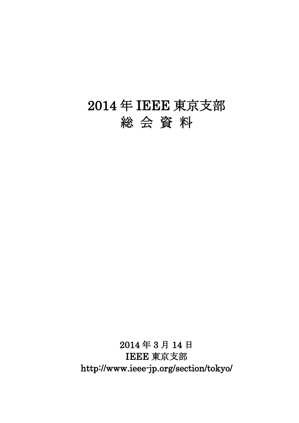# 2014 年 IEEE 東京支部 総 会 資 料

2014 年 3 月 14 日 IEEE 東京支部 http://www.ieee-jp.org/section/tokyo/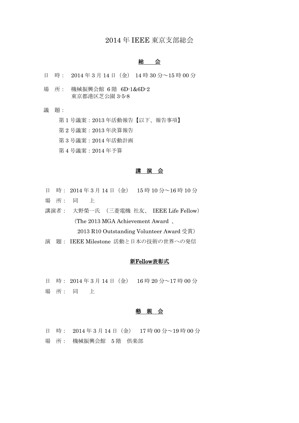# 2014 年 IEEE 東京支部総会

# 総 会

- 日 時: 2014 年 3 月 14 日(金) 14 時 30 分~15 時 00 分
- 場 所: 機械振興会館 6 階 6D-1&6D-2 東京都港区芝公園 3-5-8
- 議 題:

第 1 号議案:2013 年活動報告【以下、報告事項】

第 2 号議案:2013 年決算報告

第 3 号議案:2014 年活動計画

第 4 号議案:2014 年予算

# 講 演 会

- 日 時: 2014 年 3 月 14 日(金) 15 時 10 分~16 時 10 分 場 所: 同 上
- 
- 講演者: 大野榮一氏 (三菱電機 社友、 IEEE Life Fellow) (The 2013 MGA Achievement Award 、

2013 R10 Outstanding Volunteer Award 受賞)

演 題: IEEE Milestone 活動と日本の技術の世界への発信

# 新Fellow表彰式

日 時: 2014 年 3 月 14 日(金) 16 時 20 分~17 時 00 分 場 所: 同 上

#### 懇 親 会

日 時: 2014 年 3 月 14 日(金) 17 時 00 分~19 時 00 分 場 所: 機械振興会館 5 階 倶楽部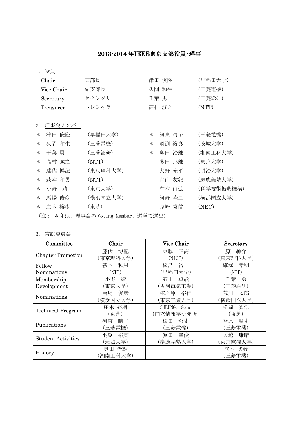# 2013-2014 年IEEE東京支部役員・理事

1. 役員

| Chair      |                                  | 支部長      |        | 津田 俊隆 | (早稲田大学)    |  |  |
|------------|----------------------------------|----------|--------|-------|------------|--|--|
| Vice Chair |                                  | 副支部長     |        | 久間 和生 | (三菱電機)     |  |  |
|            | Secretary                        | セクレタリ    |        | 千葉 勇  | (三菱総研)     |  |  |
|            | Treasurer                        | トレジャラ    |        | 高村 誠之 | (NTT)      |  |  |
|            |                                  |          |        |       |            |  |  |
| 2.         | 理事会メンバー                          |          |        |       |            |  |  |
| $\ast$     | 津田 俊隆                            | (早稲田大学)  | $\ast$ | 河東 晴子 | (三菱電機)     |  |  |
| $\ast$     | 久間 和生                            | (三菱電機)   | $\ast$ | 羽渕 裕真 | (茨城大学)     |  |  |
| $\ast$     | 千葉 勇                             | (三菱総研)   | $\ast$ | 奥田 治雄 | (湘南工科大学)   |  |  |
| $\ast$     | 高村 誠之                            | (NTT)    |        | 多田 邦雄 | (東京大学)     |  |  |
| $\ast$     | 藤代 博記                            | (東京理科大学) |        | 大野 光平 | (明治大学)     |  |  |
| $\ast$     | 萩本 和男                            | (NTT)    |        | 青山 友紀 | (慶應義塾大学)   |  |  |
| $\ast$     | 小野 靖                             | (東京大学)   |        | 有本 由弘 | (科学技術振興機構) |  |  |
| $\ast$     | 馬場 俊彦                            | (横浜国立大学) |        | 河野 隆二 | (横浜国立大学)   |  |  |
| $\ast$     | 庄木 裕樹                            | (東芝)     |        | 原崎 秀信 | (NEC)      |  |  |
|            | (注: *印は、理事会のVoting Member。選挙で選出) |          |        |       |            |  |  |

# 3. 常設委員会

| Committee                 | Chair    | <b>Vice Chair</b> | Secretary |
|---------------------------|----------|-------------------|-----------|
| <b>Chapter Promotion</b>  | 博記<br>藤代 | 東脇<br>正高          | 紳介<br>原   |
|                           | (東京理科大学) | (NICT)            | (東京理科大学)  |
| Fellow                    | 和男<br>萩本 | 裕一<br>松島          | 孝明<br>硴塚  |
| Nominations               | (NTT)    | (早稲田大学)           | (NTT)     |
| Membership                | 靖<br>小野  | 卓哉<br>石川          | 勇<br>千葉   |
| Development               | (東京大学)   | (古河電気工業)          | 〔三菱総研〕    |
| Nominations               | 俊彦<br>馬場 | 裕行<br>植之原         | 荒川<br>太郎  |
|                           | (横浜国立大学) | (東京工業大学)          | (横浜国立大学)  |
|                           | 庄木 裕樹    | CHEUNG, Gene      | 秀浩<br>松岡  |
| <b>Technical Program</b>  | (東芝)     | (国立情報学研究所)        | (東芝)      |
| Publications              | 晴子<br>河東 | 哲史<br>松田          | 聖史<br>斧原  |
|                           | (三菱電機)   | 三菱電機)             | (三菱電機)    |
| <b>Student Activities</b> | 裕真<br>羽渕 | 眞田<br>幸俊          | 大越<br>康晴  |
|                           | (茨城大学)   | (慶應義塾大学)          | (東京電機大学)  |
|                           | 奥田 治雄    |                   | 立木 武彦     |
| History                   | (湘南工科大学) |                   | 〔三菱電機〕    |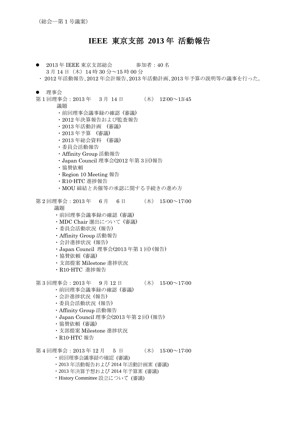# **IEEE** 東京支部 **2013** 年 活動報告

- 2013年 IEEE 東京支部総会 参加者: 40名 3月14日(木)14時 30 分~15 時 00 分
- ・ 2012 年活動報告、2012 年会計報告、2013 年活動計画、2013 年予算の説明等の議事を行った。
- 理事会
- 第1回理事会: 2013年 3月 14日 (木) 12:00~13:45

議題

- ・前回理事会議事録の確認 (審議)
- ・2012 年決算報告および監査報告
- ・2013 年活動計画 (審議)
- ・2013 年予算 (審議)
- ・2013 年総会資料 (審議)
- ・委員会活動報告
- ・Affinity Group 活動報告
- ・Japan Council 理事会(2012 年第 3 回)報告
- ・協賛依頼
- ・Region 10 Meeting 報告
- ・R10-HTC 進捗報告
- ・MOU 締結と共催等の承認に関する手続きの進め方

第 2 回理事会:  $2013 \div 6 \div 6 \div 6 \div 15:00 \sim 17:00$ 

議題

- ・前回理事会議事録の確認 (審議)
- ・MDC Chair 選出について (審議)
- ・委員会活動状況 (報告)
- ・Affinity Group 活動報告
- ・会計進捗状況 (報告)
- ・Japan Council 理事会(2013 年第 1 回) (報告)
- ・協賛依頼 (審議)
- ・支部提案 Milestone 進捗状況
- ・R10-HTC 進捗報告

第 3 回理事会: 2013 年 9 月 12 日 (木) 15:00~17:00

- ・前回理事会議事録の確認 (審議)
- ・会計進捗状況 (報告)
- ・委員会活動状況 (報告)
- ・Affinity Group 活動報告
- ・Japan Council 理事会(2013 年第 2 回) (報告)
- ・協賛依頼 (審議)
- ・支部提案 Milestone 進捗状況
- ・R10-HTC 報告

第 4 回理事会: 2013 年 12 月 5 日 (木) 15:00~17:00

- 
- ・前回理事会議事録の確認 (審議)
- ・2013 年活動報告および 2014 年活動計画案 (審議)
- ・2013 年決算予想および 2014 年予算案 (審議)
- · History Committee 設立について (審議)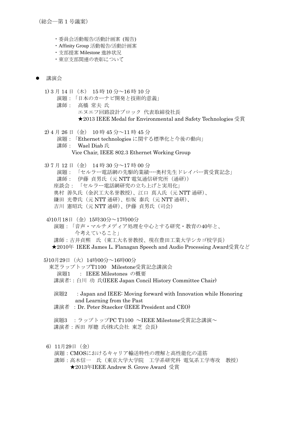(総会―第 1 号議案)

- ・委員会活動報告/活動計画案 (報告)
- ・Affinity Group 活動報告/活動計画案
- ・支部提案 Milestone 進捗状況
- ・東京支部関連の表彰について

### 講演会

1) 3 月 14 日(木) 15 時 10 分~16 時 10 分

- 演題:「日本のカーナビ開発と技術的意義」
- 講師: 高橋 常夫 氏 エヌエフ回路設計ブロック 代表取締役社長 ★2013 IEEE Medal for Environmental and Safety Technologies 受賞

2) 4 月 26 日(金) 10 時 45 分~11 時 45 分 演題:「Ethernet technologies に関する標準化と今後の動向」 講師: Wael Diab 氏 Vice Chair, IEEE 802.3 Ethernet Working Group

3) 7 月 12 日(金) 14 時 30 分~17 時 00 分 演題: 「セルラー電話網の先駆的業績----奥村先生ドレイパー賞受賞記念」 講師: 伊藤 貞男氏 (元 NTT 雷気通信研究所 (通研)) 座談会: 「セルラー電話網研究の立ち上げと実用化」 奥村 善久氏(金沢工大名誉教授)、江口 真人氏(元 NTT 通研)、 鎌田 光帶氏(元 NTT 通研)、松坂 泰氏(元 NTT 通研)、 吉川 憲昭氏 (元 NTT 通研)、伊藤 貞男氏 (司会)

4)10月18日(金)15時30分~17時00分

演題:「音声・マルチメディア処理を中心とする研究・教育の40年と、 今考えていること」

講師:古井貞熙 氏(東工大名誉教授、現在豊田工業大学シカゴ校学長)

★2010年 IEEE James L. Flanagan Speech and Audio Processing Award受賞など

5)10月29日(火)14時00分~16時00分

- 東芝ラップトップT1100 Milestone受賞記念講演会 演題1 : IEEE Milestones の概要 講演者::白川 功 氏(IEEE Japan Concil History Committee Chair)
	- 演題2 :Japan and IEEE: Moving forward with Innovation while Honoring and Learning from the Past
	- 講演者 : Dr. Peter Staecker (IEEE President and CEO)

演題3 :ラップトップPC T1100 ~IEEE Milestone受賞記念講演~ 講演者:西田 厚聰 氏(株式会社 東芝 会長)

# 6)11月29日(金)

演題:CMOSにおけるキャリア輸送特性の理解と高性能化の道筋 講師:高木信一 氏(東京大学大学院 工学系研究科 電気系工学専攻 教授) ★2013年IEEE Andrew S. Grove Award 受賞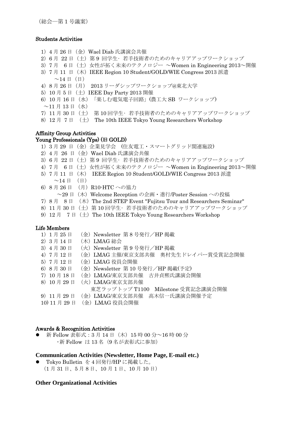(総会―第 1 号議案)

# Students Activities

1) 4 月 26 日 (金) Wael Diab 氏講演会共催 2)6 月 22 日(土)第 9 回学生• 若手技術者のためのキャリアアップワークショップ 3)7 月 6 日(土)女性が拓く未来のテクノロジー ~Women in Engineering 2013~開催 3) 7月 11 日 (木) IEEE Region 10 Student/GOLD/WIE Congress 2013 派遣  $\sim$ 14 日(日) 4)8 月 26 日(月) 2013 リーダシップワークショップ@東北大学 5) 10 月 5 日 (土) IEEE Dav Party 2013 開催 6)10 月 16 日(水)「楽しむ電気電子回路」(農工大 SB ワークショップ)  $\sim$ 11 月 13 日(水) 7)11 月 30 日(土) 第 10 回学生• 若手技術者のためのキャリアアップワークショップ 8) 12 月 7 日 (土) The 10th IEEE Tokyo Young Researchers Workshop

# Affinity Group Activities

Young Professionals (Yps) (旧 GOLD) 1)3 月 29 日(金)企業見学会 (住友電工・スマートグリッド関連施設) 2)4 月 26 日(金)Wael Diab 氏講演会共催 3) 6月 22日 (土) 第9回学生· 若手技術者のためのキャリアアップワークショップ 4) 7月 6日 (土) 女性が拓く未来のテクノロジー ~Women in Engineering 2013~開催 5)7 月 11 日(木) IEEE Region 10 Student/GOLD/WIE Congress 2013 派遣  $\sim$ 14 日 (日) 6)8 月 26 日 (月)R10-HTC への協力  $\sim$ 29 日 (木) Welcome Reception の企画・進行/Poster Session への投稿 7) 8  $\overline{z}$  8  $\overline{z}$  = ( $\overline{x}$ ) The 2nd STEP Event "Fujitsu Tour and Researchers Seminar" 8)11 月 30 日(土)第 10 回学生• 若手技術者のためのキャリアアップワークショップ 9) 12  $\sharp$  7  $\sharp$  ( $\pm$ ) The 10th IEEE Tokyo Young Researchers Workshop

# Life Members

| 1) 1月25日      | (金) Newsletter 第8号発行/HP 掲載          |
|---------------|-------------------------------------|
| 2) 3月14日      | (木) LMAG 総会                         |
| 3) 4月30日      | (火) Newsletter 第9号発行/HP 掲載          |
| 4) 7月12日      | (金) LMAG 主催/東京支部共催 奥村先生ドレイパー賞受賞記念開催 |
| 5) 7月12日      | (金) LMAG 役員会開催                      |
| 6) 8月 30日     | (金) Newsletter 第10号発行/HP 掲載(予定)     |
| 7) 10月18日     | (金) LMAG/東京支部共催 古井貞熙氏講演会開催          |
| 8) 10月29日     | (火) LMAG/東京支部共催                     |
|               | 東芝ラップトップ T1100 Milestone 受賞記念講演会開催  |
| 9) 11月29日     | (金) LMAG/東京支部共催 高木信一氏講演会開催予定        |
| 10) 11 月 29 日 | (金) LMAG 役員会開催                      |

### Awards & Recognition Activities

新 Fellow 表彰式: 3月 14日 (木) 15 時 00 分~16 時 00 分 ·新 Fellow は 13名 (9名が表彰式に参加)

# **Communication Activities (Newsletter, Home Page, E-mail etc.)**

 Tokyo Bulletin を 4 回発行/HP に掲載した。 (1 月 31 日、5 月 8 日、10 月 1 日、10 月 10 日)

# **Other Organizational Activities**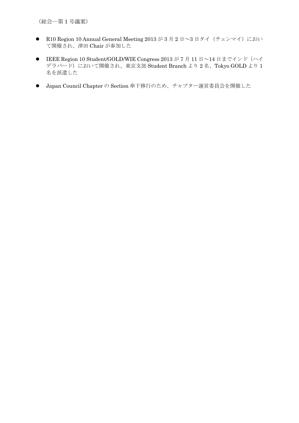(総会―第 1 号議案)

- R10 Region 10 Annual General Meeting 2013 が3月2日~3日タイ(チェンマイ)におい て開催され、津田 Chair が参加した
- IEEE Region 10 Student/GOLD/WIE Congress 2013 が 7 月 11 日~14 日までインド(ハイ デラバード)において開催され、東京支部 Student Branch より2名、Tokyo GOLD より1 名を派遣した
- Japan Council Chapter の Section 傘下移行のため、チャプター運営委員会を開催した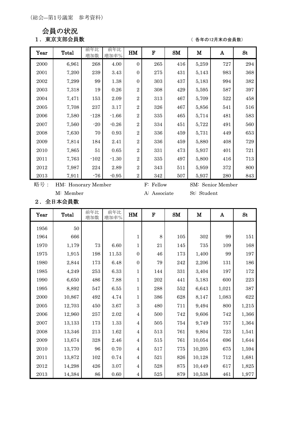会員の状況

1. 東京支部会員数 ( 8年の12月末の会員数)

| Year | Total | 前年比<br>増加数 | 前年比<br>増加率% | HM             | $\mathbf F$ | $SM$ | M     | A   | <b>St</b> |
|------|-------|------------|-------------|----------------|-------------|------|-------|-----|-----------|
| 2000 | 6,961 | 268        | 4.00        | $\Omega$       | 265         | 416  | 5,259 | 727 | 294       |
| 2001 | 7,200 | 239        | 3.43        | $\overline{0}$ | 275         | 431  | 5,143 | 983 | 368       |
| 2002 | 7,299 | 99         | 1.38        | $\Omega$       | 303         | 437  | 5,183 | 994 | 382       |
| 2003 | 7,318 | 19         | 0.26        | $\overline{2}$ | 308         | 429  | 5,595 | 587 | 397       |
| 2004 | 7,471 | 153        | 2.09        | $\overline{2}$ | 313         | 467  | 5,709 | 522 | 458       |
| 2005 | 7,708 | 237        | 3.17        | $\overline{2}$ | 326         | 467  | 5,856 | 541 | 516       |
| 2006 | 7,580 | $-128$     | $-1.66$     | $\overline{2}$ | 335         | 465  | 5,714 | 481 | 583       |
| 2007 | 7,560 | $-20$      | $-0.26$     | $\overline{2}$ | 334         | 451  | 5,722 | 491 | 560       |
| 2008 | 7,630 | 70         | 0.93        | $\overline{2}$ | 336         | 459  | 5,731 | 449 | 653       |
| 2009 | 7,814 | 184        | 2.41        | $\overline{2}$ | 336         | 459  | 5,880 | 408 | 729       |
| 2010 | 7,865 | $51\,$     | 0.65        | $\overline{2}$ | 331         | 473  | 5,937 | 401 | 721       |
| 2011 | 7,763 | $-102$     | $-1.30$     | $\overline{2}$ | 335         | 497  | 5,800 | 416 | 713       |
| 2012 | 7,987 | 224        | 2.89        | $\overline{2}$ | 343         | 511  | 5,959 | 372 | 800       |
| 2013 | 7,911 | $-76$      | $-0.95$     | $\overline{2}$ | 342         | 507  | 5,937 | 280 | 843       |

略号: HM: Honorary Member F: Fellow SM: Senior Member

M: Member A: Associate St: Student

2.全日本会員数

| Year          | <b>Total</b> | 前年比<br>増加数 | 前年比<br>増加率% | HM             | $\mathbf F$ | SM        | $\mathbf M$ | A     | <b>St</b> |
|---------------|--------------|------------|-------------|----------------|-------------|-----------|-------------|-------|-----------|
| 1956          | 50           |            |             |                |             |           |             |       |           |
| 1964          | 666          |            |             | $\mathbf 1$    | 8           | 105       | $302\,$     | 99    | 151       |
| 1970          | 1,179        | 73         | 6.60        | 1              | 21          | 145       | 735         | 109   | 168       |
| 1975          | 1,915        | 198        | 11.53       | $\overline{0}$ | $\sqrt{46}$ | 173       | 1,400       | 99    | 197       |
| 1980          | 2,844        | 173        | 6.48        | $\overline{0}$ | 79          | $\bf 242$ | 2,206       | 131   | 186       |
| 1985          | 4,249        | 253        | 6.33        | $\mathbf{1}$   | 144         | 331       | 3,404       | 197   | 172       |
| 1990          | 6,650        | 486        | 7.88        | $\mathbf{1}$   | 202         | 441       | 5,183       | 600   | 223       |
| 1995          | 8,892        | 547        | 6.55        | $\mathbf{1}$   | 288         | 552       | 6,643       | 1,021 | 387       |
| 2000          | 10,867       | 492        | 4.74        | $\mathbf{1}$   | 386         | 628       | 8,147       | 1,083 | 622       |
| 2005          | 12,703       | 450        | 3.67        | 3              | 480         | 711       | 9,494       | 800   | 1,215     |
| 2006          | 12,960       | 257        | 2.02        | $\overline{4}$ | 500         | 742       | 9,606       | 742   | 1,366     |
| 2007          | 13,133       | 173        | 1.33        | $\overline{4}$ | 505         | 754       | 9,749       | 757   | 1,364     |
| 2008          | 13,346       | 213        | 1.62        | $\overline{4}$ | 513         | 761       | 9,804       | 723   | 1,541     |
| 2009          | 13,674       | 328        | 2.46        | $\overline{4}$ | 515         | 761       | 10,054      | 696   | 1,644     |
| 2010          | 13,770       | 96         | 0.70        | $\overline{4}$ | 517         | 775       | 10,205      | 675   | 1,594     |
| 2011          | 13,872       | 102        | $0.74\,$    | $\overline{4}$ | 521         | $826\,$   | 10,128      | 712   | 1,681     |
| $\sqrt{2012}$ | 14,298       | 426        | 3.07        | $\overline{4}$ | 528         | 875       | 10,449      | 617   | 1,825     |
| 2013          | 14,384       | 86         | $0.60\,$    | $\overline{4}$ | $525\,$     | 879       | 10,538      | 461   | 1,977     |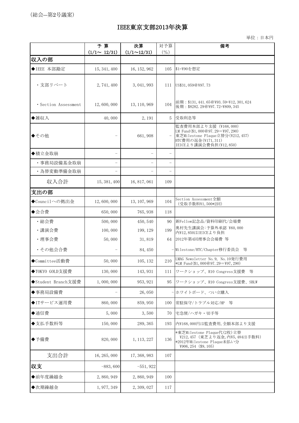# IEEE東京支部2013年決算

単位:日本円

|                      | 予算<br>$(1/1 \sim 12/31)$ | 決算<br>$(1/1 \sim 12/31)$ | 対予算<br>$($ %)            | 備考                                                                                                                                          |
|----------------------|--------------------------|--------------------------|--------------------------|---------------------------------------------------------------------------------------------------------------------------------------------|
| 収入の部                 |                          |                          |                          |                                                                                                                                             |
| ◆IEEE 本部勘定           | 15, 341, 400             | 16, 152, 962             | 105                      | \$1=¥90を想定                                                                                                                                  |
| ・支部リベート              | 2,741,400                | 3, 041, 993              | 111                      | US\$31,059@\97.73                                                                                                                           |
| · Section Assessment | 12,600,000               | 13, 110, 969             | 104                      | 前期: \$131, 441. 65@\\$93. 59=\\$12, 301, 624<br>後期: \$8282.29@\97.72=\809,345                                                               |
| ◆雑収入                 | 40,000                   | 2, 191                   | 5                        | 受取利息等                                                                                                                                       |
| ◆その他                 | $\qquad \qquad -$        | 661,908                  |                          | 監査費用本部より支援 (¥168,000)<br>LM Fund (\$1,000@97.29=\97,290)<br>東芝Milestone Plaque立替分(¥212,457)<br>HTC費用の返金(¥171,311)<br>IEICEより講演会費負担(¥12,850) |
| ◆積立金取崩               | $\qquad \qquad -$        |                          |                          |                                                                                                                                             |
| ・事務局設備基金取崩           | $\qquad \qquad -$        |                          | $\overline{\phantom{0}}$ |                                                                                                                                             |
| ・為替変動準備金取崩           | -                        |                          |                          |                                                                                                                                             |
| 収入合計                 | 15, 381, 400             | 16, 817, 061             | 109                      |                                                                                                                                             |
| 支出の部                 |                          |                          |                          |                                                                                                                                             |
| ◆Councilへの拠出金        | 12,600,000               | 13, 107, 969             | 104                      | Section Assessment全額<br>(受取手数料¥1,500*2回)                                                                                                    |
| ◆会合費                 | 650,000                  | 765, 938                 | 118                      |                                                                                                                                             |
| ·総会費                 | 500,000                  | 450, 540                 | 90                       | 新Fellow記念品/資料印刷代/会場費                                                                                                                        |
| ・講演会費                | 100,000                  | 199, 129                 | 199                      | 奥村先生講演会:予算外承認 ¥60,000<br>内¥12,850はIEICEより負担                                                                                                 |
| ·理事会費                | 50,000                   | 31,819                   | 64                       | 2012年第4回理事会会場費等                                                                                                                             |
| ・その他会合費              |                          | 84, 450                  |                          | - Milestone/HTC/Chapter移行委員会 等                                                                                                              |
| ◆Committee活動費        | 50,000                   | 105, 132                 | 210                      | LMAG Newsletter No. 9, No. 10発行費用<br>*LM Fund (\$1,000@97.29=\97,290)                                                                       |
| ◆TOKYO GOLD支援費       | 130,000                  | 143, 931                 | 111                      | ワークショップ、R10 Congress支援費<br>等                                                                                                                |
| ◆Student Branch支援費   | 1,000,000                | 953, 921                 | 95                       | ワークショップ、R10 Congress支援費、SBLW                                                                                                                |
| ◆事務局設備費              |                          | 26,050                   |                          | - ホワイトボード、つい立購入                                                                                                                             |
| ◆ITサービス運用費           | 860,000                  | 859, 950                 | 100                      | 常駐保守/トラブル対応/HP<br>等                                                                                                                         |
| ◆通信費                 | 5,000                    | 3,500                    | 70                       | 宅急便/ハガキ・切手等                                                                                                                                 |
| ◆支払手数料等              | 150,000                  | 289, 365                 | 193                      | 内¥168,000円は監査費用,全額本部より支援                                                                                                                    |
| ◆予備費                 | 820,000                  | 1, 113, 227              | 136                      | *東芝Milestone Plaque代(2枚)立替<br>¥212,457 (東芝より返金,内¥5,484は手数料)<br>*2012年Milestone Plaque未払い分<br>¥906, 254 (\$9, 105)                           |
| 支出合計                 | 16, 265, 000             | 17, 368, 983             | 107                      |                                                                                                                                             |
| 収支                   | $-883,600$               | $-551,922$               |                          |                                                                                                                                             |
| ◆前年度繰越金              | 2,860,949                | 2,860,949                | 100                      |                                                                                                                                             |
| ◆次期繰越金               | 1, 977, 349              | 2, 309, 027              | 117                      |                                                                                                                                             |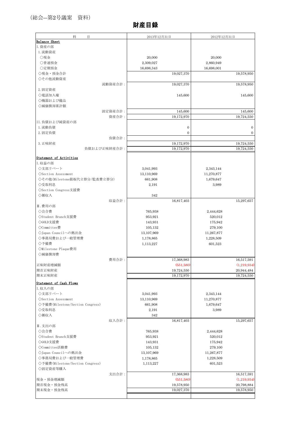# 財産目録

| 科<br>目                           | 2013年12月31日                          | 2012年12月31日              |
|----------------------------------|--------------------------------------|--------------------------|
| Balance Sheet                    |                                      |                          |
| I. 資産の部                          |                                      |                          |
| 1. 流動資産                          |                                      |                          |
| ○現金                              | 20,000                               | 20,000                   |
| ○普通預金                            | 2,309,027                            | 2,860,949                |
| ○定期預金                            | 16,698,343                           | 16,698,001               |
| ◇現金・預金合計                         | 19,027,370                           | 19,578,950               |
| ◇その他流動資産                         |                                      |                          |
| 流動資産合計:                          | 19,027,370                           | 19,578,950               |
| 2. 固定資産                          |                                      |                          |
| ◇電話加入権                           | 145,600                              | 145,600                  |
| ◇機器および備品                         |                                      |                          |
| ◇減価償却累計額                         |                                      |                          |
| 固定資産合計:                          | 145,600                              | 145,600                  |
| 資産合計:<br>II. 負債および純資産の部          | 19,172,970                           | 19,724,550               |
| 1. 流動負債                          |                                      | $\overline{0}$           |
| 2. 固定負債                          | $\boldsymbol{0}$<br>$\boldsymbol{0}$ | $\mathbf{0}$             |
| 負債合計:                            |                                      |                          |
| 3. 正味財産                          | 19,172,970                           | 19,724,550               |
| 負債および正味財産合計:                     | 19,172,970                           | 19,724,550               |
|                                  |                                      |                          |
| Statement of Activities          |                                      |                          |
| I. 収益の部                          |                                      |                          |
| ◇支部リベート                          | 3,041,993                            | 2,343,144                |
| $\Diamond$ Section Assessment    | 13,110,969                           | 11,270,877               |
| ◇その他(Milestone銘板代立替分/監査費立替分)     | 661,908                              | 1,679,647                |
| ◇受取利息                            | 2,191                                | 3,989                    |
| ◇Section Congress支援費             |                                      |                          |
| ◇雑収入                             | 342                                  |                          |
| 収益合計:                            | 16,817,403                           | 15,297,657               |
| Ⅱ. 費用の部                          |                                      |                          |
| ◇会合費                             | 765,938                              | 2,444,628                |
| ◇Student Branch支援費               | 953,921                              | 520,012                  |
| ◇GOLD支援費<br>◇Committee費          | 143,931                              | 175,942                  |
| ◇Japan Councilへの拠出金              | 105,132<br>13,107,969                | 279,100<br>11,267,877    |
| ◇事務局費および一般管理費                    | 1,178,865                            | 1,228,509                |
| ◇予備費                             | 1,113,227                            | 601,523                  |
| ◇Milestone Plaque費用              |                                      |                          |
| ◇減価償却費                           |                                      |                          |
| 費用合計:                            | 17,368,983                           | 16,517,591               |
| 正味財産増減額                          | (551, 580)                           | (1,219,934)              |
| 期首正味財産                           | 19,724,550                           | 20,944,484               |
| 期末正味財産                           | 19,172,970                           | 19,724,550               |
| Statement of Cash Flows          |                                      |                          |
| I. 収入の部                          |                                      |                          |
| ◇支部リベート                          | 3,041,993                            | 2,343,144                |
| $\Diamond$ Section Assessment    | 13,110,969                           | 11,270,877               |
| ◇予備費(Milestone/Section Congress) | 661,908                              | 1,679,647                |
| ◇受取利息                            | 2,191                                | 3,989                    |
| ◇雑収入                             | 342                                  |                          |
| 収入合計:                            | 16,817,403                           | 15,297,657               |
| Ⅱ. 支出の部                          |                                      |                          |
| ◇会合費                             | 765,938                              | 2,444,628                |
| ◇Student Branch支援費               | 953,921                              | 520,012                  |
| ◇GOLD支援費                         | 143,931                              | 175,942                  |
| ◇Committee活動費                    | 105,132                              | 279,100                  |
| ◇Japan Councilへの拠出金              | 13,107,969                           | 11,267,877               |
| ◇事務局費および一般管理費                    | 1,178,865                            | 1,228,509                |
| ◇予備費(Milestone/Section Congress) | 1,113,227                            | 601,523                  |
| ◇固定資産等購入                         |                                      |                          |
| 支出合計:                            | 17,368,983                           | 16,517,591               |
| 現金·預金増減額                         | (551, 580)                           | (1,219,934)              |
| 期首現金·預金残高<br>期末現金·預金残高           | 19,578,950<br>19,027,370             | 20,798,884<br>19,578,950 |
|                                  |                                      |                          |
|                                  |                                      |                          |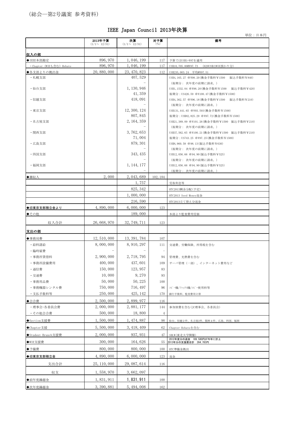# (総会―第2号議案 参考資料)

単位:日本円

|                                        | 2013年予算<br>$(1/1 \sim 12/31)$ | 決算<br>$(1/1 \sim 12/31)$   | 対予算<br>(% )              | 備考                                                                                |
|----------------------------------------|-------------------------------|----------------------------|--------------------------|-----------------------------------------------------------------------------------|
|                                        |                               |                            |                          |                                                                                   |
| 収入の部                                   |                               |                            |                          |                                                                                   |
| ◆IEEE本部勘定<br>· Chapter (WIEも含む) Rebate | 896, 970<br>896, 970          | 1, 046, 199<br>1, 046, 199 | 117<br>117               | 予算ではUS\$1=¥87を適用<br>(620US\$はWIE預かり分)<br>US\$10, 705.00@\\$97.73                  |
| ◆各支部よりの拠出金                             | 20, 880, 000                  | 23, 470, 823               | 112                      | US\$235,003.24 平均@¥97.51                                                          |
| ・札幌支部                                  |                               | 407, 529                   |                          | US\$4, 165.27 @\98.20(换金手数料¥1500 振込手数料¥840)                                       |
|                                        |                               |                            |                          | (後期分: 次年度の前期に請求。)                                                                 |
| ・仙台支部                                  |                               | 1, 130, 946                |                          | US\$1, 1532.04 @\98.20(换金手数料\1500 振込手数料\420)                                      |
| ・信越支部                                  |                               | 41, 359<br>418,091         |                          | 後期分: US426.59 @\100.47(換金手数料\1500)                                                |
|                                        |                               |                            |                          | US\$4, 362.57 @\96.18(换金手数料\1500 振込手数料\210)<br>(後期分: 次年度の前期に請求。)                  |
| ・東京支部                                  |                               | 12, 300, 124               |                          | US\$131, 441.65 @\\$93.593(换金手数料\\$1500)                                          |
|                                        |                               | 807, 845                   |                          | 後期分: US\$82, 825.29 @\97.72(換金手数料\1500)                                           |
| ·名古屋支部                                 |                               | 2, 164, 359                |                          | US\$21, 389.09 @\101.26(换金手数料¥1500 振込手数料¥210)                                     |
|                                        |                               |                            |                          | (後期分: 次年度の前期に請求。)                                                                 |
| ・関西支部                                  |                               | 3, 762, 653<br>71,004      |                          | US\$37,562.65 @\100.21(换金手数料¥1500 振込手数料¥210)<br>後期分: US743.25 @\97.25(換金手数料\1500) |
| ·広島支部                                  |                               | 879, 301                   |                          | US\$8, 960.58 @98.13(振込手数料¥630)                                                   |
|                                        |                               |                            |                          | (後期分: 次年度の前期に請求。)                                                                 |
| ・四国支部                                  |                               | 343, 435                   |                          | US\$12,056.66 @94.90(振込手数料¥525)                                                   |
|                                        |                               |                            |                          | (後期分: 次年度の前期に請求。)                                                                 |
| ・福岡支部                                  |                               | 1, 144, 177                |                          | US\$12,056.66 @94.90(振込手数料¥525)<br>(後期分: 次年度の前期に請求。)                              |
| ◆雑収入                                   | 2,000                         | 2, 043, 689                | 102, 184                 |                                                                                   |
|                                        |                               | 1,757                      |                          | 受取利息等                                                                             |
|                                        |                               | 825, 342                   |                          | HTC2013剰余分配(予定)                                                                   |
|                                        |                               | 1,000,000                  |                          | HTC2013 Seed Money返金                                                              |
|                                        |                               | 216, 590                   |                          | HTC2013立て替え分返金                                                                    |
| ◆旧東京支部積立金より                            | 4,890,000                     | 6,000,000                  | 123                      |                                                                                   |
| ◆その他                                   |                               | 189,000                    |                          | 本部より監査費用受領                                                                        |
| 収入合計                                   | 26, 668, 970                  | 32, 749, 711               | 123                      |                                                                                   |
| 支出の部                                   |                               |                            |                          |                                                                                   |
| ◆事務局費                                  | 12, 510, 000                  | 13, 391, 784               | 107                      |                                                                                   |
| ・給料諸給                                  | 8,000,000                     | 8, 910, 297                | 111                      | 交通費、労働保険、所得税を含む                                                                   |
| ・臨時雇費                                  |                               |                            | $\overline{\phantom{m}}$ |                                                                                   |
| ・事務所賃借料                                | 2, 900, 000                   | 2, 718, 795                | 94                       | 管理費、光熱費を含む                                                                        |
| · 事務所設備費用                              | 400,000                       | 437,601                    | 109                      | サーバ管理 (一部)、インターネット費用など                                                            |
| · 通信費                                  | 150,000                       | 123, 957                   | 83                       |                                                                                   |
| ·交通費                                   | 10,000                        | 9, 270                     | 93                       |                                                                                   |
| · 事務用品費                                | 50,000                        | 50, 225                    | 100                      |                                                                                   |
| ・事務機器レンタル費                             | 750,000                       | 716, 497                   | 96                       | コピー機/ファックス機/コピー使用料等                                                               |
| ·支払手数料等                                | 250,000                       | 425, 142                   | 170                      | 銀行手数料、監査費用立替                                                                      |
| ◆会合費                                   | 2,500,000<br>2,000,000        | 2,899,977<br>2, 881, 177   | 116                      |                                                                                   |
| ・理事会・各委員会費<br>・その他会合費                  | 500,000                       | 18,800                     | 144<br>$\overline{4}$    | 参加旅費を含む(JC理事会、各委員会)                                                               |
| ◆Section支援費                            | 1,500,000                     | 1, 474, 887                | 98                       | 仙台、信越2件、名古屋2件、関西4件、広島、四国、福岡                                                       |
| ◆Chapter支援                             | 5,500,000                     | 3, 418, 409                | 62                       | Chapter Rebateを含む                                                                 |
| ◆Student Branch支援費                     | 2,000,000                     | 937, 931                   | 47                       |                                                                                   |
| ◆WIE支援費                                | 300,000                       | 164,626                    | 55                       | SBLW(東北大学開催)<br>2012年度分の返金 189,580円が今年に計上                                         |
|                                        |                               |                            |                          | 2013年分の支援費合計 264,783円                                                             |
| ◆予備費                                   | 800,000                       | 800,000                    | 100                      | HTC準備金拠出                                                                          |
| ◆旧東京支部積立金                              | 4,890,000                     | 6,000,000                  | 123                      | 返金                                                                                |
| 支出合計                                   | 25, 110, 000                  | 29, 087, 614               | 116                      |                                                                                   |
| 収支                                     | 1, 558, 970                   | 3, 662, 097                |                          |                                                                                   |
| ◆前年度繰越金                                | 1,831,911                     | 1, 831, 911                | 100                      |                                                                                   |
| ◆次年度繰越金                                | 3, 390, 881                   | 5, 494, 008                | 162                      |                                                                                   |

IEEE Japan Council 2013年決算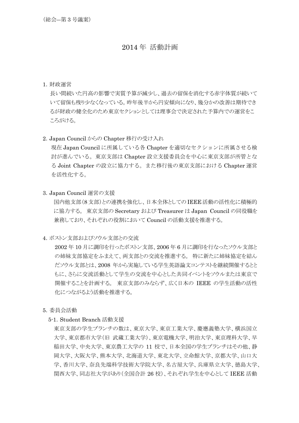# 2014 年 活動計画

### 1.財政運営

 長い間続いた円高の影響で実質予算が減少し、過去の留保を消化する赤字体質が続いて いて留保も残り少なくなっている。昨年後半から円安傾向になり、幾分かの改善は期待でき るが財政の健全化のため東京セクションとしては理事会で決定された予算内での運営をこ ころがける。

### 2.Japan Council からの Chapter 移行の受け入れ

 現在 Japan Council に所属している各 Chapter を適切なセクションに所属させる検 討が進んでいる。東京支部は Chapter 設立支援委員会を中心に東京支部が所管とな る Joint Chapter の設立に協力する。また移行後の東京支部における Chapter 運営 を活性化する。

3.Japan Council 運営の支援

国内他支部(8 支部)との連携を強化し、日本全体としての IEEE 活動の活性化に積極的 に協力する。 東京支部の Secretary および Treasurer は Japan Council の同役職を 兼務しており、それぞれの役割において Council の活動支援を推進する。

4.ボストン支部およびソウル支部との交流

2002 年 10 月に調印を行ったボストン支部、2006 年 6 月に調印を行なったソウル支部と の姉妹支部協定をふまえて、両支部との交流を推進する。 特に新たに姉妹協定を結ん だソウル支部とは、2008 年から実施している学生英語論文コンテストを継続開催するとと もに、さらに交流活動として学生の交流を中心とした共同イベントをソウルまたは東京で 開催することを計画する。 東京支部のみならず、広く日本の IEEE の学生活動の活性 化につながるよう活動を推進する。

- 5.委員会活動
	- 5-1.Student Branch 活動支援

東京支部の学生ブランチの数は、東京大学、東京工業大学、慶應義塾大学、横浜国立 大学、東京都市大学(旧 武蔵工業大学)、東京電機大学、明治大学、東京理科大学、早 稲田大学、中央大学、東京農工大学の 11 校で、日本全国の学生ブランチはその他、静 岡大学、大阪大学、熊本大学、北海道大学、東北大学、立命館大学、京都大学、山口大 学、香川大学、奈良先端科学技術大学院大学、名古屋大学、兵庫県立大学、徳島大学、 関西大学、同志社大学があり(全国合計 26 校)、それぞれ学生を中心として IEEE 活動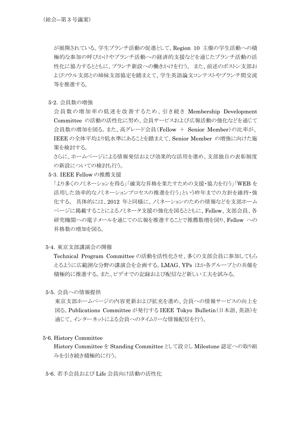が展開されている。学生ブランチ活動の促進として、Region 10 主催の学生活動への積 極的な参加の呼びかけやブランチ活動への経済的支援などを通じたブランチ活動の活 性化に協力するとともに、ブランチ新設への働きかけを行う。 また、前述のボストン支部お よびソウル支部との姉妹支部協定を踏まえて、学生英語論文コンテストやブランチ間交流 等を推進する。

5-2.会員数の増強

会員数の増加率の低迷を改善するため、引き続き Membership Development Committee の活動の活性化に努め、会員サービスおよび広報活動の強化などを通じて 会員数の増加を図る。また、高グレード会員(Fellow + Senior Member)の比率が、 IEEE の全体平均より低水準にあることを踏まえて、Senior Member の増強に向けた施 策を検討する。

さらに、ホームページによる情報発信および効果的な活用を進め、支部独自の表彰制度 の新設についての検討も行う。

5-3.IEEE Fellow の推薦支援

「より多くのノミネーションを得る」「確実な昇格を果たすための支援・協力を行う」「WEB を 活用した効率的なノミネーションプロセスの推進を行う」という昨年までの方針を維持・強 化する。 具体的には、2012 年と同様に、ノミネーションのための情報などを支部ホーム ページに掲載することによるノミネータ支援の強化を図るとともに、Fellow、支部会員、各 研究機関への電子メールを通じての広報を推進することで推薦数増を図り、Fellow への 昇格数の増加を図る。

5-4.東京支部講演会の開催

Technical Program Committee の活動を活性化させ、多くの支部会員に参加してもら えるように広範囲な分野の講演会を企画する。LMAG、YPs ほか各グループとの共催を 積極的に推進する。また、ビデオでの記録および配信など新しい工夫を試みる。

5-5.会員への情報提供

東京支部ホームページの内容更新および拡充を進め、会員への情報サービスの向上を 図る。Publications Committee が発行する IEEE Tokyo Bulletin(日本語、英語)を 通じて、インターネットによる会員へのタイムリーな情報配信を行う。

# 5-6. History Committee

 History Committee を Standing Committee として設立し Milestone 認定への取り組 みを引き続き積極的に行う。

5-6.若手会員および Life 会員向け活動の活性化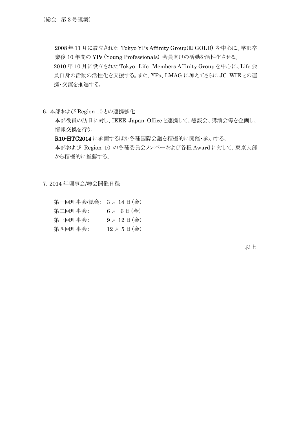2008 年 11 月に設立された Tokyo YPs Affinity Group(旧 GOLD) を中心に、学部卒 業後 10 年間の YPs (Young Professionals) 会員向けの活動を活性化させる。 2010 年 10 月に設立された Tokyo Life Members Affinity Group を中心に、Life 会 員自身の活動の活性化を支援する。また、YPs、LMAG に加えてさらに JC WIE との連 携・交流を推進する。

6.本部および Region 10 との連携強化

本部役員の訪日に対し、IEEE Japan Office と連携して、懇談会、講演会等を企画し、 情報交換を行う。

R10-HTC2014 に参画するほか各種国際会議を積極的に開催・参加する。 本部および Region 10 の各種委員会メンバーおよび各種 Award に対して、東京支部 から積極的に推薦する。

7.2014 年理事会/総会開催日程

| 第一回理事会/総会: 3月14日(金) |          |
|---------------------|----------|
| 第二回理事会:             | 6月 6日(金) |
| 第三回理事会:             | 9月12日(金) |
| 第四回理事会:             | 12月5日(金) |

以上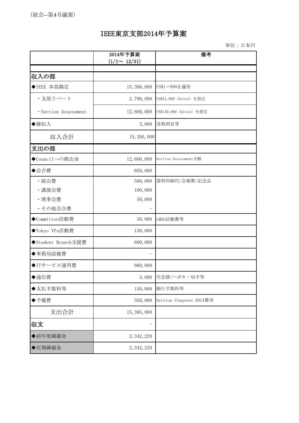# IEEE東京支部2014年予算案

単位:日本円

|                      | 2014年予算案<br>$(1/1 \sim 12/31)$ | 備考                      |
|----------------------|--------------------------------|-------------------------|
|                      |                                |                         |
| 収入の部                 |                                |                         |
| ◆IEEE 本部勘定           | 15, 390, 000                   | US\$1=¥90を適用            |
| ・支部リベート              | 2,790,000                      | US\$31,000 (Gross) を想定  |
| · Section Assessment | 12,600,000                     | US\$140,000 (Gross) を想定 |
| ◆雑収入                 | 5,000                          | 受取利息等                   |
| 収入合計                 | 15, 395, 000                   |                         |
| 支出の部                 |                                |                         |
| ◆Councilへの拠出金        | 12,600,000                     | Section Assessment全額    |
| ◆会合費                 | 650,000                        |                         |
| ·総会費                 | 500,000                        | 資料印刷代/会場費/記念品           |
| ·講演会費                | 100,000                        |                         |
| ·理事会費                | 50,000                         |                         |
| ・その他会合費              |                                |                         |
| ◆Committee活動費        | 50,000                         | LMAG活動費等                |
| ◆Tokyo YPs活動費        | 130,000                        |                         |
| ◆Student Branch支援費   | 600,000                        |                         |
| ◆事務局設備費              |                                |                         |
| ◆ITサービス運用費           | 860,000                        |                         |
| ◆通信費                 | 5,000                          | 宅急便/ハガキ・切手等             |
| ◆支払手数料等              | 150,000                        | 銀行手数料等                  |
| ◆予備費                 | 350,000                        | Section Congress 2014費用 |
| 支出合計                 | 15, 395, 000                   |                         |
| 収支                   |                                |                         |
| ◆前年度繰越金              | 2, 342, 220                    |                         |
| ◆次期繰越金               | 2, 342, 220                    |                         |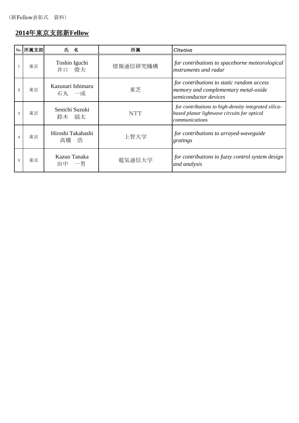# **2014**年東京支部新**Fellow**

|                | No. 所属支部 | 氏名                         | 所属         | Citation                                                                                                              |
|----------------|----------|----------------------------|------------|-----------------------------------------------------------------------------------------------------------------------|
|                | 東京       | Toshio Iguchi<br>俊夫<br>井口  | 情報通信研究機構   | for contributions to spaceborne meteorological<br>instruments and radar                                               |
| $\overline{2}$ | 東京       | Kazunari Ishimaru<br>石丸 一成 | 東芝         | for contributions to static random access<br>memory and complementary metal-oxide<br>semiconductor devices            |
| 3              | 東京       | Senichi Suzuki<br>鈴木 扇太    | <b>NTT</b> | for contributions to high-density integrated silica-<br>based planar lightwave circuits for optical<br>communications |
|                | 東京       | Hiroshi Takahashi<br>高橋 浩  | 上智大学       | for contributions to arrayed-waveguide<br>gratings                                                                    |
| 5              | 東京       | Kazuo Tanaka<br>田中 一男      | 電気通信大学     | for contributions to fuzzy control system design<br>and analysis                                                      |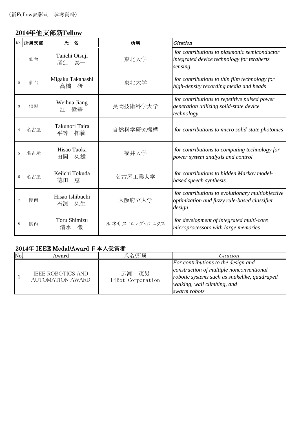# **2014**年他支部新**Fellow**

|                | No. 所属支部 | 氏 名                            | 所属            | Citation                                                                                                   |
|----------------|----------|--------------------------------|---------------|------------------------------------------------------------------------------------------------------------|
| $\mathbf{1}$   | 仙台       | Taiichi Otsuji<br>泰一<br>尾汁     | 東北大学          | for contributions to plasmonic semiconductor<br>integrated device technology for terahertz<br>sensing      |
| $\mathbf{2}$   | 仙台       | Migaku Takahashi<br>高橋<br>研    | 東北大学          | for contributions to thin film technology for<br>high-density recording media and heads                    |
| 3              | 信越       | Weihua Jiang<br>偉華<br>江        | 長岡技術科学大学      | for contributions to repetitive pulsed power<br>generation utilizing solid-state device<br>technology      |
| $\overline{4}$ | 名古屋      | Takunori Taira<br>平等<br>拓範     | 自然科学研究機構      | for contributions to micro solid-state photonics                                                           |
| 5              | 名古屋      | Hisao Taoka<br>久雄<br>田岡        | 福井大学          | for contributions to computing technology for<br>power system analysis and control                         |
| 6              | 名古屋      | Keiichi Tokuda<br>恵一<br>徳田     | 名古屋工業大学       | for contributions to hidden Markov model-<br>based speech synthesis                                        |
| $\tau$         | 関西       | Hisao Ishibuchi<br>久生<br>石渕    | 大阪府立大学        | for contributions to evolutionary multiobjective<br>optimization and fuzzy rule-based classifier<br>design |
| 8              | 関西       | <b>Toru Shimizu</b><br>清水<br>徹 | ルネサス エレクトロニクス | for development of integrated multi-core<br>microprocessors with large memories                            |

# 2014年 IEEE Medal/Award 日本人受賞者

| No. | Award                                               | 氏名/所属                         | Citation                                                                                                                                                                       |
|-----|-----------------------------------------------------|-------------------------------|--------------------------------------------------------------------------------------------------------------------------------------------------------------------------------|
|     | <b>IEEE ROBOTICS AND</b><br><b>AUTOMATION AWARD</b> | 茂男<br>広瀬<br>HiBot Corporation | For contributions to the design and<br>construction of multiple nonconventional<br>robotic systems such as snakelike, quadruped<br>walking, wall climbing, and<br>swarm robots |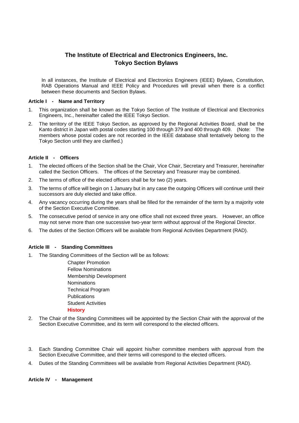# **The Institute of Electrical and Electronics Engineers, Inc. Tokyo Section Bylaws**

In all instances, the Institute of Electrical and Electronics Engineers (IEEE) Bylaws, Constitution, RAB Operations Manual and IEEE Policy and Procedures will prevail when there is a conflict between these documents and Section Bylaws.

#### **Article I - Name and Territory**

- 1. This organization shall be known as the Tokyo Section of The Institute of Electrical and Electronics Engineers, Inc., hereinafter called the IEEE Tokyo Section.
- 2. The territory of the IEEE Tokyo Section, as approved by the Regional Activities Board, shall be the Kanto district in Japan with postal codes starting 100 through 379 and 400 through 409. (Note: The members whose postal codes are not recorded in the IEEE database shall tentatively belong to the Tokyo Section until they are clarified.)

# **Article II - Officers**

- 1. The elected officers of the Section shall be the Chair, Vice Chair, Secretary and Treasurer, hereinafter called the Section Officers. The offices of the Secretary and Treasurer may be combined.
- 2. The terms of office of the elected officers shall be for two (2) years.
- 3. The terms of office will begin on 1 January but in any case the outgoing Officers will continue until their successors are duly elected and take office.
- 4. Any vacancy occurring during the years shall be filled for the remainder of the term by a majority vote of the Section Executive Committee.
- 5. The consecutive period of service in any one office shall not exceed three years. However, an office may not serve more than one successive two-year term without approval of the Regional Director.
- 6. The duties of the Section Officers will be available from Regional Activities Department (RAD).

### **Article III - Standing Committees**

1. The Standing Committees of the Section will be as follows:

Chapter Promotion Fellow Nominations Membership Development Nominations Technical Program **Publications** Student Activities **History**

- 2. The Chair of the Standing Committees will be appointed by the Section Chair with the approval of the Section Executive Committee, and its term will correspond to the elected officers.
- 3. Each Standing Committee Chair will appoint his/her committee members with approval from the Section Executive Committee, and their terms will correspond to the elected officers.
- 4. Duties of the Standing Committees will be available from Regional Activities Department (RAD).

#### **Article IV - Management**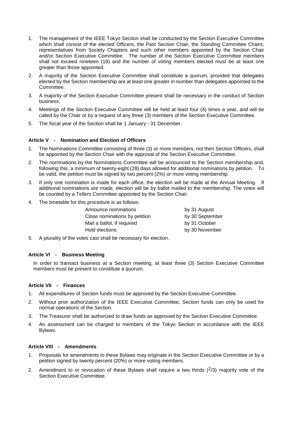- 1. The management of the IEEE Tokyo Section shall be conducted by the Section Executive Committee which shall consist of the elected Officers, the Past Section Chair, the Standing Committee Chairs, representatives from Society Chapters and such other members appointed by the Section Chair and/or Section Executive Committee. The number of the Section Executive Committee members shall not exceed nineteen (19) and the number of voting members elected must be at least one greater than those appointed.
- 2. A majority of the Section Executive Committee shall constitute a quorum, provided that delegates elected by the Section membership are at least one greater in number than delegates appointed to the Committee.
- 3. A majority of the Section Executive Committee present shall be necessary in the conduct of Section business.
- 4. Meetings of the Section Executive Committee will be held at least four (4) times a year, and will be called by the Chair or by a request of any three (3) members of the Section Executive Committee.
- 5. The fiscal year of the Section shall be 1 January 31 December.

### **Article V - Nomination and Election of Officers**

- 1. The Nominations Committee consisting of three (3) or more members, not then Section Officers, shall be appointed by the Section Chair with the approval of the Section Executive Committee.
- 2. The nominations by the Nominations Committee will be announced to the Section membership and, following this, a minimum of twenty-eight (28) days allowed for additional nominations by petition. To be valid, the petition must be signed by two percent (2%) or more voting membership.
- 3. If only one nomination is made for each office, the election will be made at the Annual Meeting. If additional nominations are made, election will be by ballot mailed to the membership. The votes will be counted by a Tellers Committee appointed by the Section Chair.
- 4. The timetable for this procedure is as follows:

| Announce nominations          |  |
|-------------------------------|--|
| Close nominations by petition |  |
| Mail a ballot, if required    |  |
| Hold elections                |  |

by 31 August by 30 September by 31 October by 30 November

5. A plurality of the votes cast shall be necessary for election.

#### **Article VI - Business Meeting**

In order to transact business at a Section meeting, at least three (3) Section Executive Committee members must be present to constitute a quorum.

### **Article VII - Finances**

- 1. All expenditures of Section funds must be approved by the Section Executive Committee.
- 2. Without prior authorization of the IEEE Executive Committee, Section funds can only be used for normal operations of the Section.
- 3. The Treasurer shall be authorized to draw funds as approved by the Section Executive Committee.
- 4. An assessment can be charged to members of the Tokyo Section in accordance with the IEEE Bylaws.

### **Article VIII - Amendments**

- 1. Proposals for amendments to these Bylaws may originate in the Section Executive Committee or by a petition signed by twenty percent (20%) or more voting members.
- 2. Amendment to or revocation of these Bylaws shall require a two thirds  $(^{2}/3)$  majority vote of the Section Executive Committee.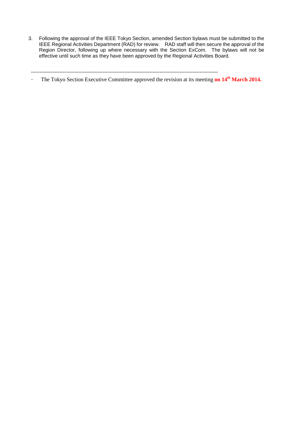3. Following the approval of the IEEE Tokyo Section, amended Section bylaws must be submitted to the IEEE Regional Activities Department (RAD) for review. RAD staff will then secure the approval of the Region Director, following up where necessary with the Section ExCom. The bylaws will not be effective until such time as they have been approved by the Regional Activities Board.

----------------------------------------------------------------------------------------------------------------

The Tokyo Section Executive Committee approved the revision at its meeting **on 14<sup>th</sup> March 2014.**